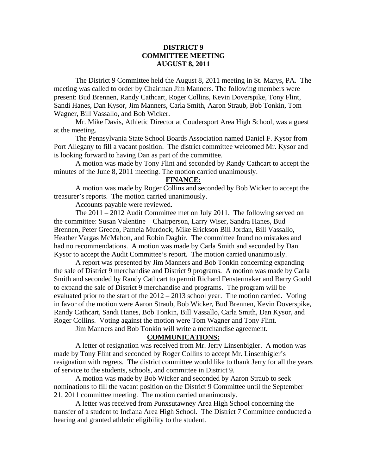## **DISTRICT 9 COMMITTEE MEETING AUGUST 8, 2011**

 The District 9 Committee held the August 8, 2011 meeting in St. Marys, PA. The meeting was called to order by Chairman Jim Manners. The following members were present: Bud Brennen, Randy Cathcart, Roger Collins, Kevin Doverspike, Tony Flint, Sandi Hanes, Dan Kysor, Jim Manners, Carla Smith, Aaron Straub, Bob Tonkin, Tom Wagner, Bill Vassallo, and Bob Wicker.

 Mr. Mike Davis, Athletic Director at Coudersport Area High School, was a guest at the meeting.

 The Pennsylvania State School Boards Association named Daniel F. Kysor from Port Allegany to fill a vacant position. The district committee welcomed Mr. Kysor and is looking forward to having Dan as part of the committee.

 A motion was made by Tony Flint and seconded by Randy Cathcart to accept the minutes of the June 8, 2011 meeting. The motion carried unanimously.

### **FINANCE:**

A motion was made by Roger Collins and seconded by Bob Wicker to accept the treasurer's reports. The motion carried unanimously.

Accounts payable were reviewed.

 The 2011 – 2012 Audit Committee met on July 2011. The following served on the committee: Susan Valentine – Chairperson, Larry Wiser, Sandra Hanes, Bud Brennen, Peter Grecco, Pamela Murdock, Mike Erickson Bill Jordan, Bill Vassallo, Heather Vargas McMahon, and Robin Daghir. The committee found no mistakes and had no recommendations. A motion was made by Carla Smith and seconded by Dan Kysor to accept the Audit Committee's report. The motion carried unanimously.

 A report was presented by Jim Manners and Bob Tonkin concerning expanding the sale of District 9 merchandise and District 9 programs. A motion was made by Carla Smith and seconded by Randy Cathcart to permit Richard Fenstermaker and Barry Gould to expand the sale of District 9 merchandise and programs. The program will be evaluated prior to the start of the  $2012 - 2013$  school year. The motion carried. Voting in favor of the motion were Aaron Straub, Bob Wicker, Bud Brennen, Kevin Doverspike, Randy Cathcart, Sandi Hanes, Bob Tonkin, Bill Vassallo, Carla Smith, Dan Kysor, and Roger Collins. Voting against the motion were Tom Wagner and Tony Flint.

Jim Manners and Bob Tonkin will write a merchandise agreement.

#### **COMMUNICATIONS:**

 A letter of resignation was received from Mr. Jerry Linsenbigler. A motion was made by Tony Flint and seconded by Roger Collins to accept Mr. Linsenbigler's resignation with regrets. The district committee would like to thank Jerry for all the years of service to the students, schools, and committee in District 9.

 A motion was made by Bob Wicker and seconded by Aaron Straub to seek nominations to fill the vacant position on the District 9 Committee until the September 21, 2011 committee meeting. The motion carried unanimously.

 A letter was received from Punxsutawney Area High School concerning the transfer of a student to Indiana Area High School. The District 7 Committee conducted a hearing and granted athletic eligibility to the student.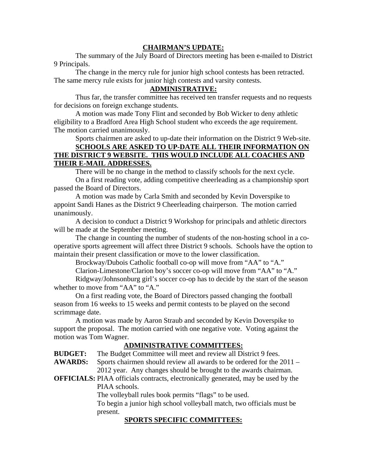# **CHAIRMAN'S UPDATE:**

 The summary of the July Board of Directors meeting has been e-mailed to District 9 Principals.

 The change in the mercy rule for junior high school contests has been retracted. The same mercy rule exists for junior high contests and varsity contests.

# **ADMINISTRATIVE:**

 Thus far, the transfer committee has received ten transfer requests and no requests for decisions on foreign exchange students.

 A motion was made Tony Flint and seconded by Bob Wicker to deny athletic eligibility to a Bradford Area High School student who exceeds the age requirement. The motion carried unanimously.

 Sports chairmen are asked to up-date their information on the District 9 Web-site.  **SCHOOLS ARE ASKED TO UP-DATE ALL THEIR INFORMATION ON THE DISTRICT 9 WEBSITE. THIS WOULD INCLUDE ALL COACHES AND THEIR E-MAIL ADDRESSES.**

There will be no change in the method to classify schools for the next cycle.

 On a first reading vote, adding competitive cheerleading as a championship sport passed the Board of Directors.

 A motion was made by Carla Smith and seconded by Kevin Doverspike to appoint Sandi Hanes as the District 9 Cheerleading chairperson. The motion carried unanimously.

 A decision to conduct a District 9 Workshop for principals and athletic directors will be made at the September meeting.

 The change in counting the number of students of the non-hosting school in a cooperative sports agreement will affect three District 9 schools. Schools have the option to maintain their present classification or move to the lower classification.

Brockway/Dubois Catholic football co-op will move from "AA" to "A."

Clarion-Limestone/Clarion boy's soccer co-op will move from "AA" to "A."

 Ridgway/Johnsonburg girl's soccer co-op has to decide by the start of the season whether to move from "AA" to "A."

 On a first reading vote, the Board of Directors passed changing the football season from 16 weeks to 15 weeks and permit contests to be played on the second scrimmage date.

A motion was made by Aaron Straub and seconded by Kevin Doverspike to support the proposal. The motion carried with one negative vote. Voting against the motion was Tom Wagner.

#### **ADMINISTRATIVE COMMITTEES:**

**BUDGET:** The Budget Committee will meet and review all District 9 fees.

**AWARDS:** Sports chairmen should review all awards to be ordered for the 2011 – 2012 year. Any changes should be brought to the awards chairman.

**OFFICIALS:** PIAA officials contracts, electronically generated, may be used by the PIAA schools.

The volleyball rules book permits "flags" to be used.

 To begin a junior high school volleyball match, two officials must be present.

# **SPORTS SPECIFIC COMMITTEES:**